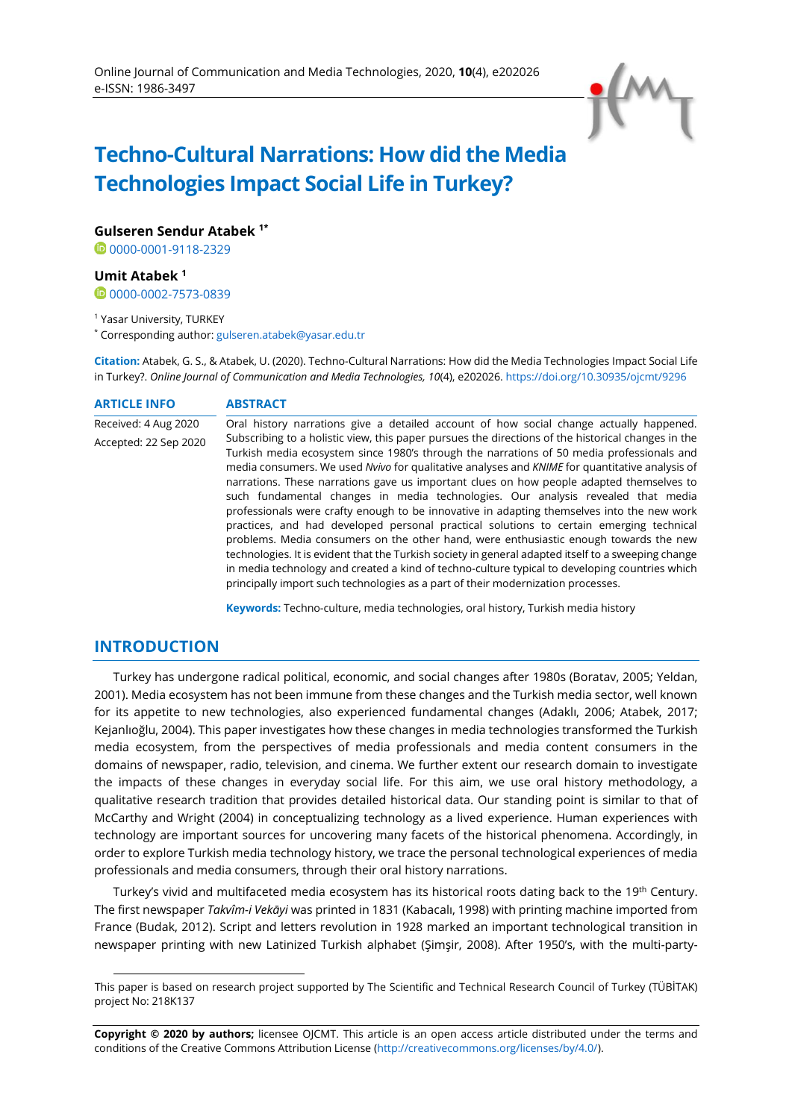

# **Techno-Cultural Narrations: How did the Media Technologies Impact Social Life in Turkey?**

**Gulseren Sendur Atabek 1\***

0[0000-0001-9118-2329](https://orcid.org/0000-0001-9118-2329)

### **Umit Atabek <sup>1</sup>**

0000002-7573-0839

<sup>1</sup> Yasar University, TURKEY

\* Corresponding author: [gulseren.atabek@yasar.edu.tr](mailto:gulseren.atabek@yasar.edu.tr)

**Citation:** Atabek, G. S., & Atabek, U. (2020). Techno-Cultural Narrations: How did the Media Technologies Impact Social Life in Turkey?. *Online Journal of Communication and Media Technologies, 10*(4), e202026. <https://doi.org/10.30935/ojcmt/9296>

### **ARTICLE INFO ABSTRACT**

Received: 4 Aug 2020 Accepted: 22 Sep 2020 Oral history narrations give a detailed account of how social change actually happened. Subscribing to a holistic view, this paper pursues the directions of the historical changes in the Turkish media ecosystem since 1980's through the narrations of 50 media professionals and media consumers. We used *Nvivo* for qualitative analyses and *KNIME* for quantitative analysis of narrations. These narrations gave us important clues on how people adapted themselves to such fundamental changes in media technologies. Our analysis revealed that media professionals were crafty enough to be innovative in adapting themselves into the new work practices, and had developed personal practical solutions to certain emerging technical problems. Media consumers on the other hand, were enthusiastic enough towards the new technologies. It is evident that the Turkish society in general adapted itself to a sweeping change in media technology and created a kind of techno-culture typical to developing countries which principally import such technologies as a part of their modernization processes.

**Keywords:** Techno-culture, media technologies, oral history, Turkish media history

### **INTRODUCTION**

Turkey has undergone radical political, economic, and social changes after 1980s (Boratav, 2005; Yeldan, 2001). Media ecosystem has not been immune from these changes and the Turkish media sector, well known for its appetite to new technologies, also experienced fundamental changes (Adaklı, 2006; Atabek, 2017; Kejanlıoğlu, 2004). This paper investigates how these changes in media technologies transformed the Turkish media ecosystem, from the perspectives of media professionals and media content consumers in the domains of newspaper, radio, television, and cinema. We further extent our research domain to investigate the impacts of these changes in everyday social life. For this aim, we use oral history methodology, a qualitative research tradition that provides detailed historical data. Our standing point is similar to that of McCarthy and Wright (2004) in conceptualizing technology as a lived experience. Human experiences with technology are important sources for uncovering many facets of the historical phenomena. Accordingly, in order to explore Turkish media technology history, we trace the personal technological experiences of media professionals and media consumers, through their oral history narrations.

Turkey's vivid and multifaceted media ecosystem has its historical roots dating back to the 19<sup>th</sup> Century. The first newspaper *Takvîm-i Vekāyi* was printed in 1831 (Kabacalı, 1998) with printing machine imported from France (Budak, 2012). Script and letters revolution in 1928 marked an important technological transition in newspaper printing with new Latinized Turkish alphabet (Şimşir, 2008). After 1950's, with the multi-party-

**Copyright © 2020 by authors;** licensee OJCMT. This article is an open access article distributed under the terms and conditions of the Creative Commons Attribution License [\(http://creativecommons.org/licenses/by/4.0/\).](http://creativecommons.org/licenses/by/4.0/)

This paper is based on research project supported by The Scientific and Technical Research Council of Turkey (TÜBİTAK) project No: 218K137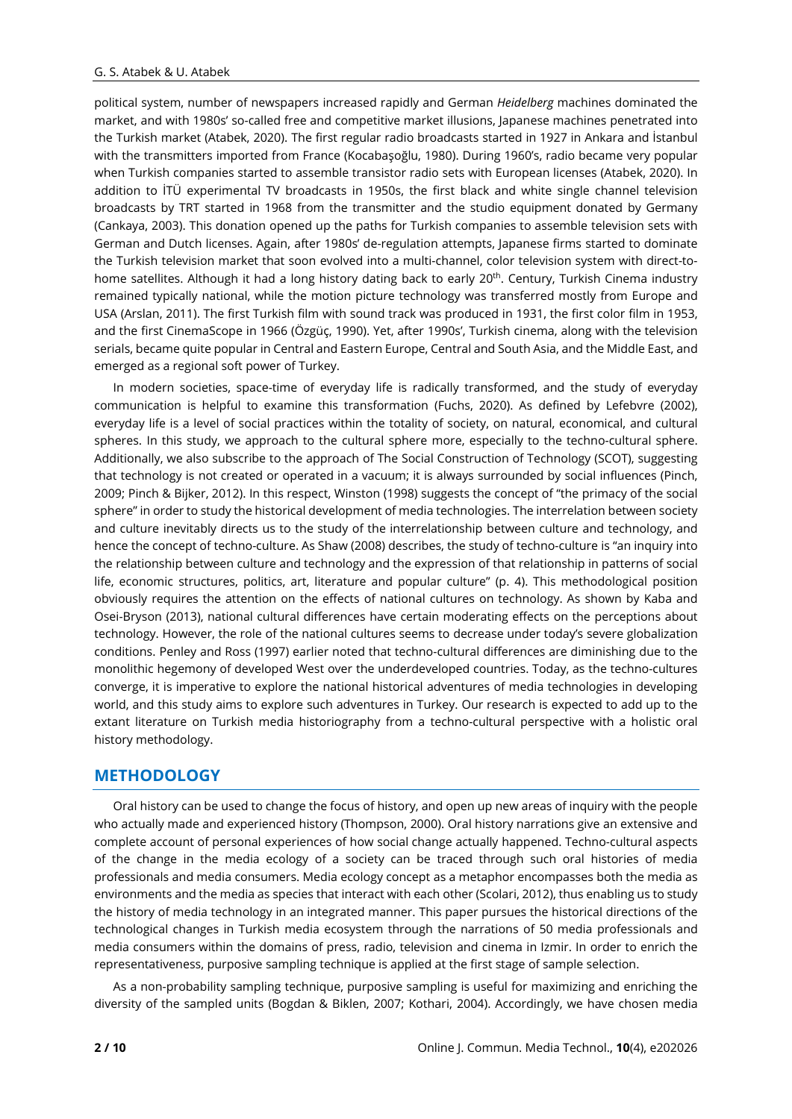political system, number of newspapers increased rapidly and German *Heidelberg* machines dominated the market, and with 1980s' so-called free and competitive market illusions, Japanese machines penetrated into the Turkish market (Atabek, 2020). The first regular radio broadcasts started in 1927 in Ankara and İstanbul with the transmitters imported from France (Kocabaşoğlu, 1980). During 1960's, radio became very popular when Turkish companies started to assemble transistor radio sets with European licenses (Atabek, 2020). In addition to İTÜ experimental TV broadcasts in 1950s, the first black and white single channel television broadcasts by TRT started in 1968 from the transmitter and the studio equipment donated by Germany (Cankaya, 2003). This donation opened up the paths for Turkish companies to assemble television sets with German and Dutch licenses. Again, after 1980s' de-regulation attempts, Japanese firms started to dominate the Turkish television market that soon evolved into a multi-channel, color television system with direct-tohome satellites. Although it had a long history dating back to early 20<sup>th</sup>. Century, Turkish Cinema industry remained typically national, while the motion picture technology was transferred mostly from Europe and USA (Arslan, 2011). The first Turkish film with sound track was produced in 1931, the first color film in 1953, and the first CinemaScope in 1966 (Özgüç, 1990). Yet, after 1990s', Turkish cinema, along with the television serials, became quite popular in Central and Eastern Europe, Central and South Asia, and the Middle East, and emerged as a regional soft power of Turkey.

In modern societies, space-time of everyday life is radically transformed, and the study of everyday communication is helpful to examine this transformation (Fuchs, 2020). As defined by Lefebvre (2002), everyday life is a level of social practices within the totality of society, on natural, economical, and cultural spheres. In this study, we approach to the cultural sphere more, especially to the techno-cultural sphere. Additionally, we also subscribe to the approach of The Social Construction of Technology (SCOT), suggesting that technology is not created or operated in a vacuum; it is always surrounded by social influences (Pinch, 2009; Pinch & Bijker, 2012). In this respect, Winston (1998) suggests the concept of "the primacy of the social sphere" in order to study the historical development of media technologies. The interrelation between society and culture inevitably directs us to the study of the interrelationship between culture and technology, and hence the concept of techno-culture. As Shaw (2008) describes, the study of techno-culture is "an inquiry into the relationship between culture and technology and the expression of that relationship in patterns of social life, economic structures, politics, art, literature and popular culture" (p. 4). This methodological position obviously requires the attention on the effects of national cultures on technology. As shown by Kaba and Osei-Bryson (2013), national cultural differences have certain moderating effects on the perceptions about technology. However, the role of the national cultures seems to decrease under today's severe globalization conditions. Penley and Ross (1997) earlier noted that techno-cultural differences are diminishing due to the monolithic hegemony of developed West over the underdeveloped countries. Today, as the techno-cultures converge, it is imperative to explore the national historical adventures of media technologies in developing world, and this study aims to explore such adventures in Turkey. Our research is expected to add up to the extant literature on Turkish media historiography from a techno-cultural perspective with a holistic oral history methodology.

# **METHODOLOGY**

Oral history can be used to change the focus of history, and open up new areas of inquiry with the people who actually made and experienced history (Thompson, 2000). Oral history narrations give an extensive and complete account of personal experiences of how social change actually happened. Techno-cultural aspects of the change in the media ecology of a society can be traced through such oral histories of media professionals and media consumers. Media ecology concept as a metaphor encompasses both the media as environments and the media as species that interact with each other (Scolari, 2012), thus enabling us to study the history of media technology in an integrated manner. This paper pursues the historical directions of the technological changes in Turkish media ecosystem through the narrations of 50 media professionals and media consumers within the domains of press, radio, television and cinema in Izmir. In order to enrich the representativeness, purposive sampling technique is applied at the first stage of sample selection.

As a non-probability sampling technique, purposive sampling is useful for maximizing and enriching the diversity of the sampled units (Bogdan & Biklen, 2007; Kothari, 2004). Accordingly, we have chosen media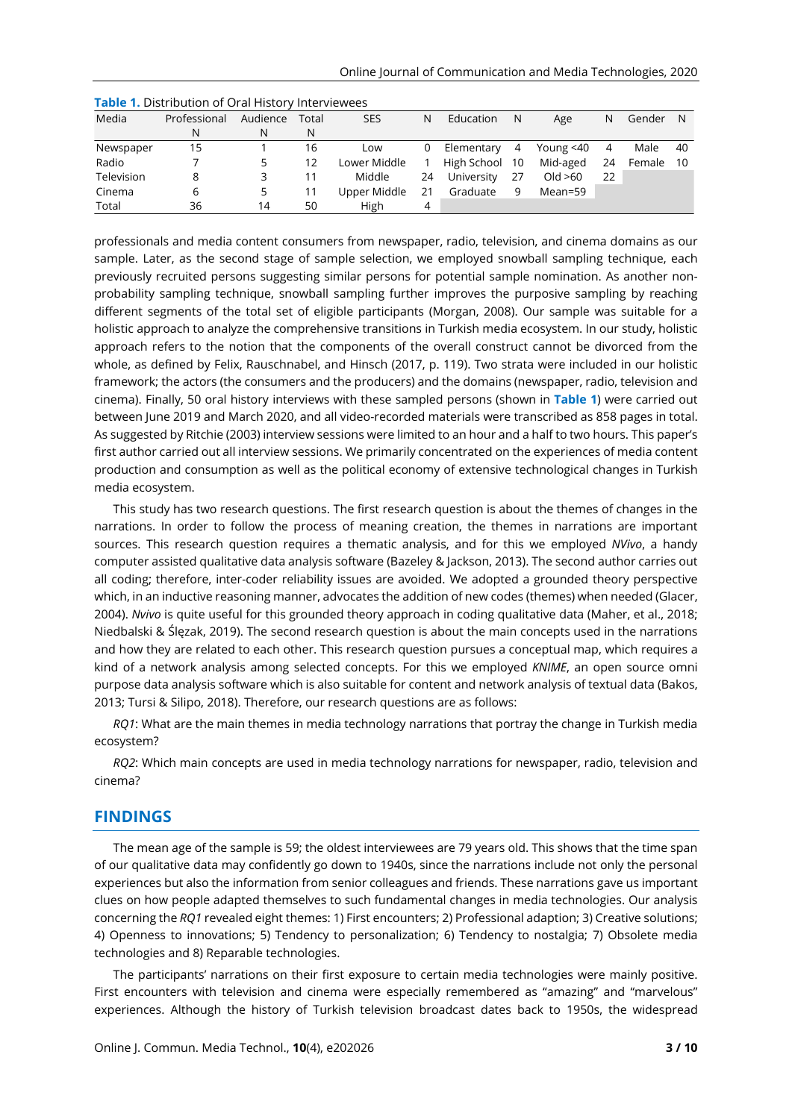| Media      | Professional | Audience | Total | <b>SES</b>   | N  | Education      | N  | Age          | N  | Gender | - N |
|------------|--------------|----------|-------|--------------|----|----------------|----|--------------|----|--------|-----|
|            | N            | N        | N     |              |    |                |    |              |    |        |     |
| Newspaper  | 15           |          | 16    | Low          | 0  | Elementary     | 4  | Young $<$ 40 | 4  | Male   | 40  |
| Radio      |              |          | 12    | Lower Middle |    | High School 10 |    | Mid-aged     | 24 | Female | -10 |
| Television | 8            |          |       | Middle       | 24 | University     | 27 | Old $>60$    | 22 |        |     |
| Cinema     | 6            |          |       | Upper Middle | 21 | Graduate       | 9  | Mean=59      |    |        |     |
| Total      | 36           | 14       | 50    | High         | 4  |                |    |              |    |        |     |

| Table 1. Distribution of Oral History Interviewees |  |
|----------------------------------------------------|--|
|----------------------------------------------------|--|

professionals and media content consumers from newspaper, radio, television, and cinema domains as our sample. Later, as the second stage of sample selection, we employed snowball sampling technique, each previously recruited persons suggesting similar persons for potential sample nomination. As another nonprobability sampling technique, snowball sampling further improves the purposive sampling by reaching different segments of the total set of eligible participants (Morgan, 2008). Our sample was suitable for a holistic approach to analyze the comprehensive transitions in Turkish media ecosystem. In our study, holistic approach refers to the notion that the components of the overall construct cannot be divorced from the whole, as defined by Felix, Rauschnabel, and Hinsch (2017, p. 119). Two strata were included in our holistic framework; the actors (the consumers and the producers) and the domains (newspaper, radio, television and cinema). Finally, 50 oral history interviews with these sampled persons (shown in **Table 1**) were carried out between June 2019 and March 2020, and all video-recorded materials were transcribed as 858 pages in total. As suggested by Ritchie (2003) interview sessions were limited to an hour and a half to two hours. This paper's first author carried out all interview sessions. We primarily concentrated on the experiences of media content production and consumption as well as the political economy of extensive technological changes in Turkish media ecosystem.

This study has two research questions. The first research question is about the themes of changes in the narrations. In order to follow the process of meaning creation, the themes in narrations are important sources. This research question requires a thematic analysis, and for this we employed *NVivo*, a handy computer assisted qualitative data analysis software (Bazeley & Jackson, 2013). The second author carries out all coding; therefore, inter-coder reliability issues are avoided. We adopted a grounded theory perspective which, in an inductive reasoning manner, advocates the addition of new codes (themes) when needed (Glacer, 2004). *Nvivo* is quite useful for this grounded theory approach in coding qualitative data (Maher, et al., 2018; Niedbalski & Ślęzak, 2019). The second research question is about the main concepts used in the narrations and how they are related to each other. This research question pursues a conceptual map, which requires a kind of a network analysis among selected concepts. For this we employed *KNIME*, an open source omni purpose data analysis software which is also suitable for content and network analysis of textual data (Bakos, 2013; Tursi & Silipo, 2018). Therefore, our research questions are as follows:

*RQ1*: What are the main themes in media technology narrations that portray the change in Turkish media ecosystem?

*RQ2*: Which main concepts are used in media technology narrations for newspaper, radio, television and cinema?

### **FINDINGS**

The mean age of the sample is 59; the oldest interviewees are 79 years old. This shows that the time span of our qualitative data may confidently go down to 1940s, since the narrations include not only the personal experiences but also the information from senior colleagues and friends. These narrations gave us important clues on how people adapted themselves to such fundamental changes in media technologies. Our analysis concerning the *RQ1* revealed eight themes: 1) First encounters; 2) Professional adaption; 3) Creative solutions; 4) Openness to innovations; 5) Tendency to personalization; 6) Tendency to nostalgia; 7) Obsolete media technologies and 8) Reparable technologies.

The participants' narrations on their first exposure to certain media technologies were mainly positive. First encounters with television and cinema were especially remembered as "amazing" and "marvelous" experiences. Although the history of Turkish television broadcast dates back to 1950s, the widespread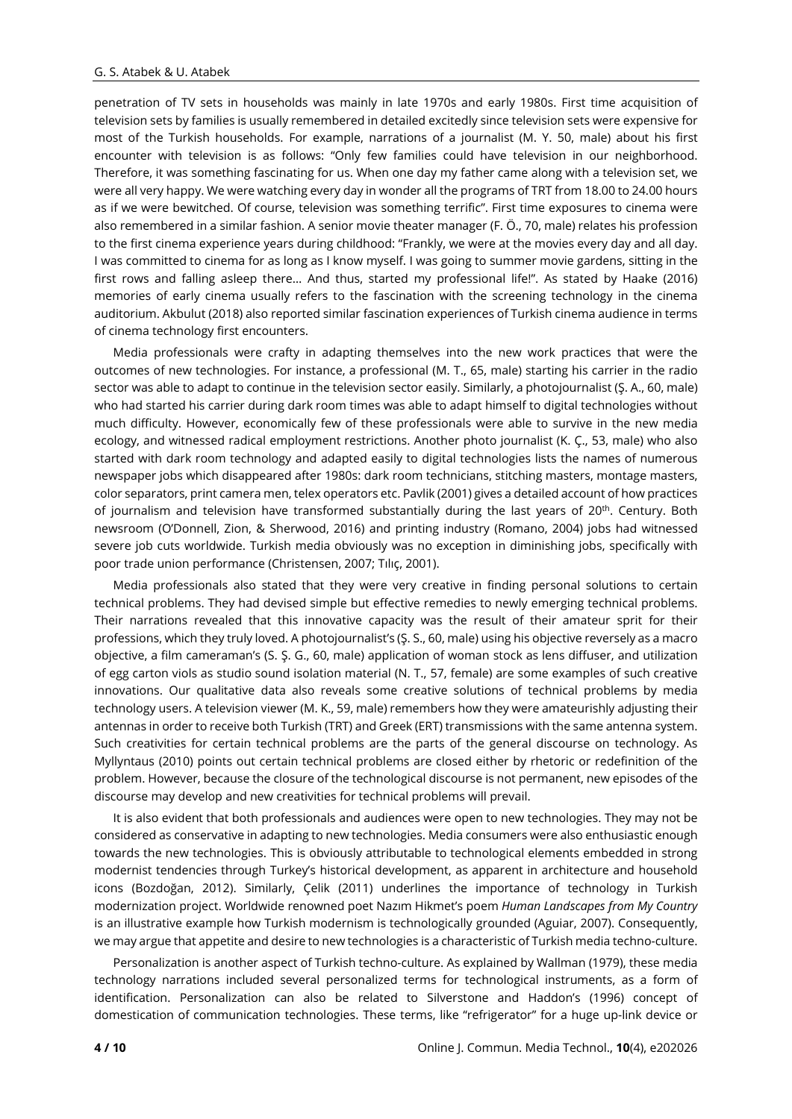penetration of TV sets in households was mainly in late 1970s and early 1980s. First time acquisition of television sets by families is usually remembered in detailed excitedly since television sets were expensive for most of the Turkish households. For example, narrations of a journalist (M. Y. 50, male) about his first encounter with television is as follows: "Only few families could have television in our neighborhood. Therefore, it was something fascinating for us. When one day my father came along with a television set, we were all very happy. We were watching every day in wonder all the programs of TRT from 18.00 to 24.00 hours as if we were bewitched. Of course, television was something terrific". First time exposures to cinema were also remembered in a similar fashion. A senior movie theater manager (F. Ö., 70, male) relates his profession to the first cinema experience years during childhood: "Frankly, we were at the movies every day and all day. I was committed to cinema for as long as I know myself. I was going to summer movie gardens, sitting in the first rows and falling asleep there… And thus, started my professional life!". As stated by Haake (2016) memories of early cinema usually refers to the fascination with the screening technology in the cinema auditorium. Akbulut (2018) also reported similar fascination experiences of Turkish cinema audience in terms of cinema technology first encounters.

Media professionals were crafty in adapting themselves into the new work practices that were the outcomes of new technologies. For instance, a professional (M. T., 65, male) starting his carrier in the radio sector was able to adapt to continue in the television sector easily. Similarly, a photojournalist (Ş. A., 60, male) who had started his carrier during dark room times was able to adapt himself to digital technologies without much difficulty. However, economically few of these professionals were able to survive in the new media ecology, and witnessed radical employment restrictions. Another photo journalist (K. Ç., 53, male) who also started with dark room technology and adapted easily to digital technologies lists the names of numerous newspaper jobs which disappeared after 1980s: dark room technicians, stitching masters, montage masters, color separators, print camera men, telex operators etc. Pavlik (2001) gives a detailed account of how practices of journalism and television have transformed substantially during the last years of 20<sup>th</sup>. Century. Both newsroom (O'Donnell, Zion, & Sherwood, 2016) and printing industry (Romano, 2004) jobs had witnessed severe job cuts worldwide. Turkish media obviously was no exception in diminishing jobs, specifically with poor trade union performance (Christensen, 2007; Tılıç, 2001).

Media professionals also stated that they were very creative in finding personal solutions to certain technical problems. They had devised simple but effective remedies to newly emerging technical problems. Their narrations revealed that this innovative capacity was the result of their amateur sprit for their professions, which they truly loved. A photojournalist's (Ş. S., 60, male) using his objective reversely as a macro objective, a film cameraman's (S. Ş. G., 60, male) application of woman stock as lens diffuser, and utilization of egg carton viols as studio sound isolation material (N. T., 57, female) are some examples of such creative innovations. Our qualitative data also reveals some creative solutions of technical problems by media technology users. A television viewer (M. K., 59, male) remembers how they were amateurishly adjusting their antennas in order to receive both Turkish (TRT) and Greek (ERT) transmissions with the same antenna system. Such creativities for certain technical problems are the parts of the general discourse on technology. As Myllyntaus (2010) points out certain technical problems are closed either by rhetoric or redefinition of the problem. However, because the closure of the technological discourse is not permanent, new episodes of the discourse may develop and new creativities for technical problems will prevail.

It is also evident that both professionals and audiences were open to new technologies. They may not be considered as conservative in adapting to new technologies. Media consumers were also enthusiastic enough towards the new technologies. This is obviously attributable to technological elements embedded in strong modernist tendencies through Turkey's historical development, as apparent in architecture and household icons (Bozdoğan, 2012). Similarly, Çelik (2011) underlines the importance of technology in Turkish modernization project. Worldwide renowned poet Nazım Hikmet's poem *Human Landscapes from My Country* is an illustrative example how Turkish modernism is technologically grounded (Aguiar, 2007). Consequently, we may argue that appetite and desire to new technologies is a characteristic of Turkish media techno-culture.

Personalization is another aspect of Turkish techno-culture. As explained by Wallman (1979), these media technology narrations included several personalized terms for technological instruments, as a form of identification. Personalization can also be related to Silverstone and Haddon's (1996) concept of domestication of communication technologies. These terms, like "refrigerator" for a huge up-link device or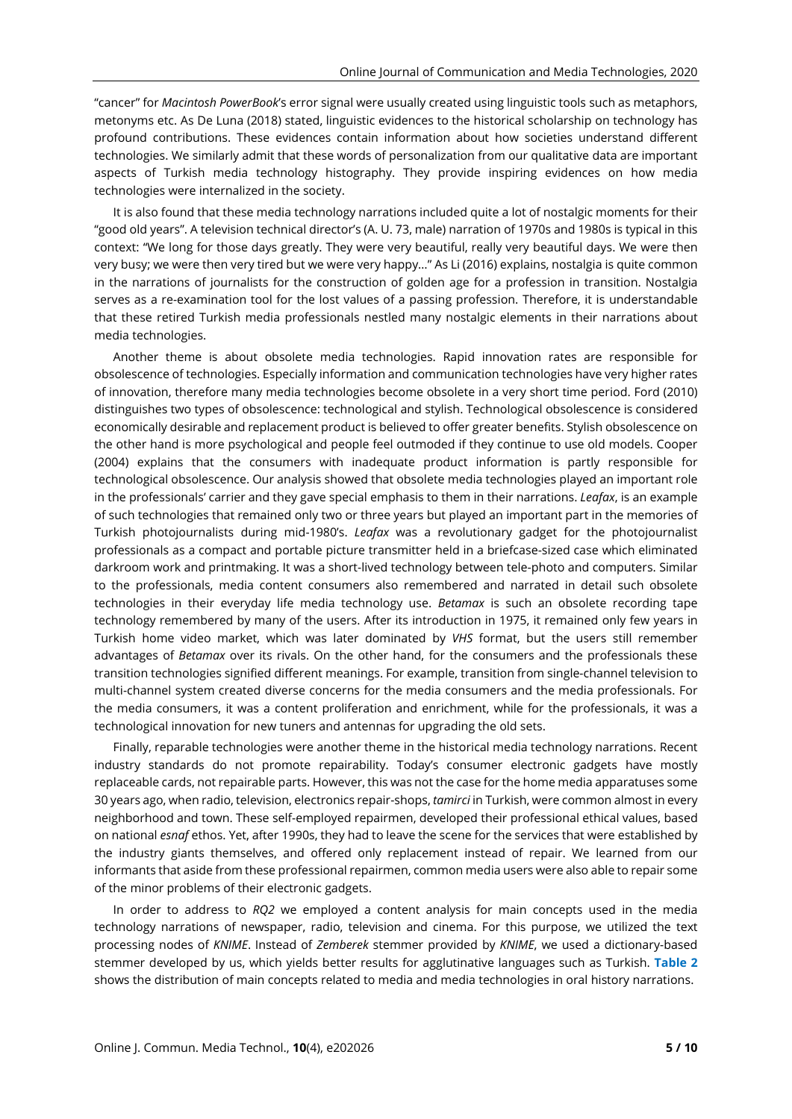"cancer" for *Macintosh PowerBook*'s error signal were usually created using linguistic tools such as metaphors, metonyms etc. As De Luna (2018) stated, linguistic evidences to the historical scholarship on technology has profound contributions. These evidences contain information about how societies understand different technologies. We similarly admit that these words of personalization from our qualitative data are important aspects of Turkish media technology histography. They provide inspiring evidences on how media technologies were internalized in the society.

It is also found that these media technology narrations included quite a lot of nostalgic moments for their "good old years". A television technical director's (A. U. 73, male) narration of 1970s and 1980s is typical in this context: "We long for those days greatly. They were very beautiful, really very beautiful days. We were then very busy; we were then very tired but we were very happy…" As Li (2016) explains, nostalgia is quite common in the narrations of journalists for the construction of golden age for a profession in transition. Nostalgia serves as a re-examination tool for the lost values of a passing profession. Therefore, it is understandable that these retired Turkish media professionals nestled many nostalgic elements in their narrations about media technologies.

Another theme is about obsolete media technologies. Rapid innovation rates are responsible for obsolescence of technologies. Especially information and communication technologies have very higher rates of innovation, therefore many media technologies become obsolete in a very short time period. Ford (2010) distinguishes two types of obsolescence: technological and stylish. Technological obsolescence is considered economically desirable and replacement product is believed to offer greater benefits. Stylish obsolescence on the other hand is more psychological and people feel outmoded if they continue to use old models. Cooper (2004) explains that the consumers with inadequate product information is partly responsible for technological obsolescence. Our analysis showed that obsolete media technologies played an important role in the professionals' carrier and they gave special emphasis to them in their narrations. *Leafax*, is an example of such technologies that remained only two or three years but played an important part in the memories of Turkish photojournalists during mid-1980's. *Leafax* was a revolutionary gadget for the photojournalist professionals as a compact and portable picture transmitter held in a briefcase-sized case which eliminated darkroom work and printmaking. It was a short-lived technology between tele-photo and computers. Similar to the professionals, media content consumers also remembered and narrated in detail such obsolete technologies in their everyday life media technology use. *Betamax* is such an obsolete recording tape technology remembered by many of the users. After its introduction in 1975, it remained only few years in Turkish home video market, which was later dominated by *VHS* format, but the users still remember advantages of *Betamax* over its rivals. On the other hand, for the consumers and the professionals these transition technologies signified different meanings. For example, transition from single-channel television to multi-channel system created diverse concerns for the media consumers and the media professionals. For the media consumers, it was a content proliferation and enrichment, while for the professionals, it was a technological innovation for new tuners and antennas for upgrading the old sets.

Finally, reparable technologies were another theme in the historical media technology narrations. Recent industry standards do not promote repairability. Today's consumer electronic gadgets have mostly replaceable cards, not repairable parts. However, this was not the case for the home media apparatuses some 30 years ago, when radio, television, electronics repair-shops, *tamirci* in Turkish, were common almost in every neighborhood and town. These self-employed repairmen, developed their professional ethical values, based on national *esnaf* ethos. Yet, after 1990s, they had to leave the scene for the services that were established by the industry giants themselves, and offered only replacement instead of repair. We learned from our informants that aside from these professional repairmen, common media users were also able to repair some of the minor problems of their electronic gadgets.

In order to address to *RQ2* we employed a content analysis for main concepts used in the media technology narrations of newspaper, radio, television and cinema. For this purpose, we utilized the text processing nodes of *KNIME*. Instead of *Zemberek* stemmer provided by *KNIME*, we used a dictionary-based stemmer developed by us, which yields better results for agglutinative languages such as Turkish. **Table 2** shows the distribution of main concepts related to media and media technologies in oral history narrations.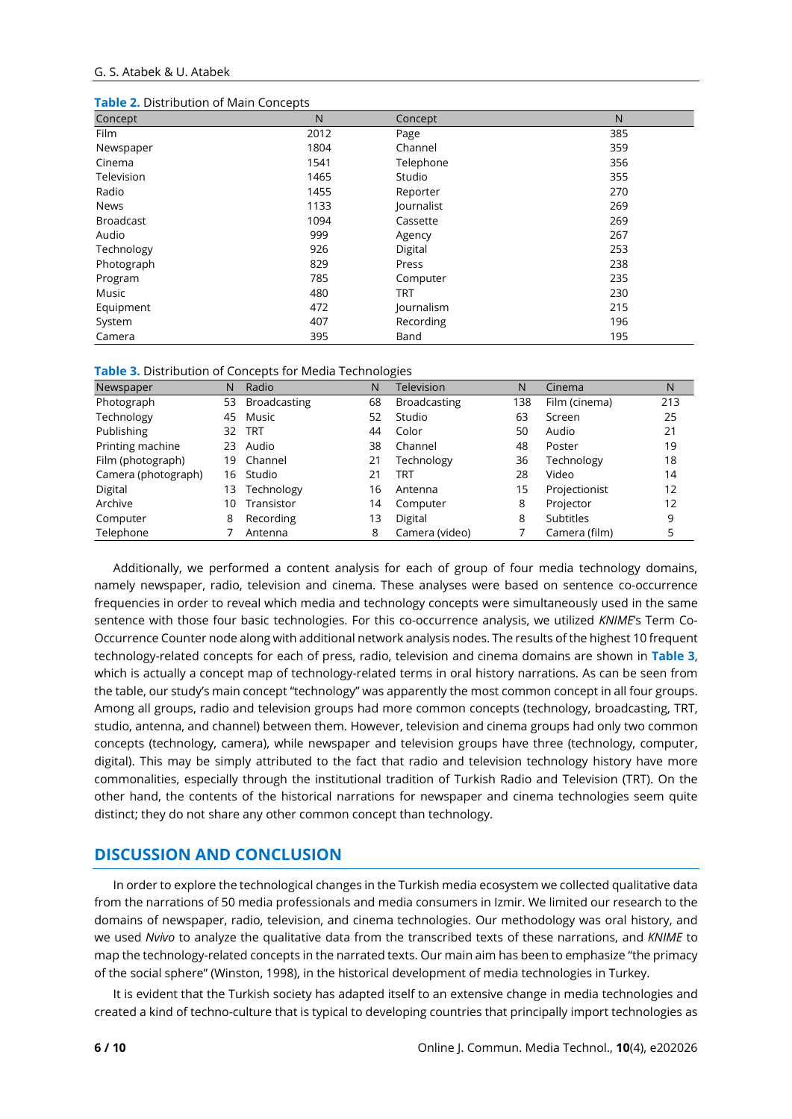#### G. S. Atabek & U. Atabek

| <b>Table 2.</b> Distribution of Main Concepts |      |            |     |  |  |  |  |
|-----------------------------------------------|------|------------|-----|--|--|--|--|
| Concept                                       | N    | Concept    | N   |  |  |  |  |
| Film                                          | 2012 | Page       | 385 |  |  |  |  |
| Newspaper                                     | 1804 | Channel    | 359 |  |  |  |  |
| Cinema                                        | 1541 | Telephone  | 356 |  |  |  |  |
| Television                                    | 1465 | Studio     | 355 |  |  |  |  |
| Radio                                         | 1455 | Reporter   | 270 |  |  |  |  |
| <b>News</b>                                   | 1133 | Journalist | 269 |  |  |  |  |
| <b>Broadcast</b>                              | 1094 | Cassette   | 269 |  |  |  |  |
| Audio                                         | 999  | Agency     | 267 |  |  |  |  |
| Technology                                    | 926  | Digital    | 253 |  |  |  |  |
| Photograph                                    | 829  | Press      | 238 |  |  |  |  |
| Program                                       | 785  | Computer   | 235 |  |  |  |  |
| Music                                         | 480  | <b>TRT</b> | 230 |  |  |  |  |
| Equipment                                     | 472  | Journalism | 215 |  |  |  |  |
| System                                        | 407  | Recording  | 196 |  |  |  |  |
| Camera                                        | 395  | Band       | 195 |  |  |  |  |

| Table 2. Distribution of Main Concepts |  |  |
|----------------------------------------|--|--|
|----------------------------------------|--|--|

**Table 3.** Distribution of Concepts for Media Technologies

| Newspaper           | N  | Radio               | Ν            | ີ<br>Television     | N   | Cinema        | N   |
|---------------------|----|---------------------|--------------|---------------------|-----|---------------|-----|
| Photograph          | 53 | <b>Broadcasting</b> | 68           | <b>Broadcasting</b> | 138 | Film (cinema) | 213 |
| Technology          | 45 | Music               | 52           | Studio              | 63  | Screen        | 25  |
| Publishing          | 32 | TRT                 | 44           | Color               | 50  | Audio         | 21  |
| Printing machine    | 23 | Audio               | 38           | Channel             | 48  | Poster        | 19  |
| Film (photograph)   | 19 | Channel             | 21           | Technology          | 36  | Technology    | 18  |
| Camera (photograph) | 16 | Studio              | $2^{\prime}$ | TRT                 | 28  | Video         | 14  |
| Digital             | 13 | Technology          | 16           | Antenna             | 15  | Projectionist | 12  |
| Archive             | 10 | Transistor          | 14           | Computer            | 8   | Projector     | 12  |
| Computer            | 8  | Recording           | 13           | Digital             | 8   | Subtitles     | 9   |
| Telephone           |    | Antenna             | 8            | Camera (video)      |     | Camera (film) | 5   |

Additionally, we performed a content analysis for each of group of four media technology domains, namely newspaper, radio, television and cinema. These analyses were based on sentence co-occurrence frequencies in order to reveal which media and technology concepts were simultaneously used in the same sentence with those four basic technologies. For this co-occurrence analysis, we utilized *KNIME*'s Term Co-Occurrence Counter node along with additional network analysis nodes. The results of the highest 10 frequent technology-related concepts for each of press, radio, television and cinema domains are shown in **Table 3**, which is actually a concept map of technology-related terms in oral history narrations. As can be seen from the table, our study's main concept "technology" was apparently the most common concept in all four groups. Among all groups, radio and television groups had more common concepts (technology, broadcasting, TRT, studio, antenna, and channel) between them. However, television and cinema groups had only two common concepts (technology, camera), while newspaper and television groups have three (technology, computer, digital). This may be simply attributed to the fact that radio and television technology history have more commonalities, especially through the institutional tradition of Turkish Radio and Television (TRT). On the other hand, the contents of the historical narrations for newspaper and cinema technologies seem quite distinct; they do not share any other common concept than technology.

### **DISCUSSION AND CONCLUSION**

In order to explore the technological changes in the Turkish media ecosystem we collected qualitative data from the narrations of 50 media professionals and media consumers in Izmir. We limited our research to the domains of newspaper, radio, television, and cinema technologies. Our methodology was oral history, and we used *Nvivo* to analyze the qualitative data from the transcribed texts of these narrations, and *KNIME* to map the technology-related concepts in the narrated texts. Our main aim has been to emphasize "the primacy of the social sphere" (Winston, 1998), in the historical development of media technologies in Turkey.

It is evident that the Turkish society has adapted itself to an extensive change in media technologies and created a kind of techno-culture that is typical to developing countries that principally import technologies as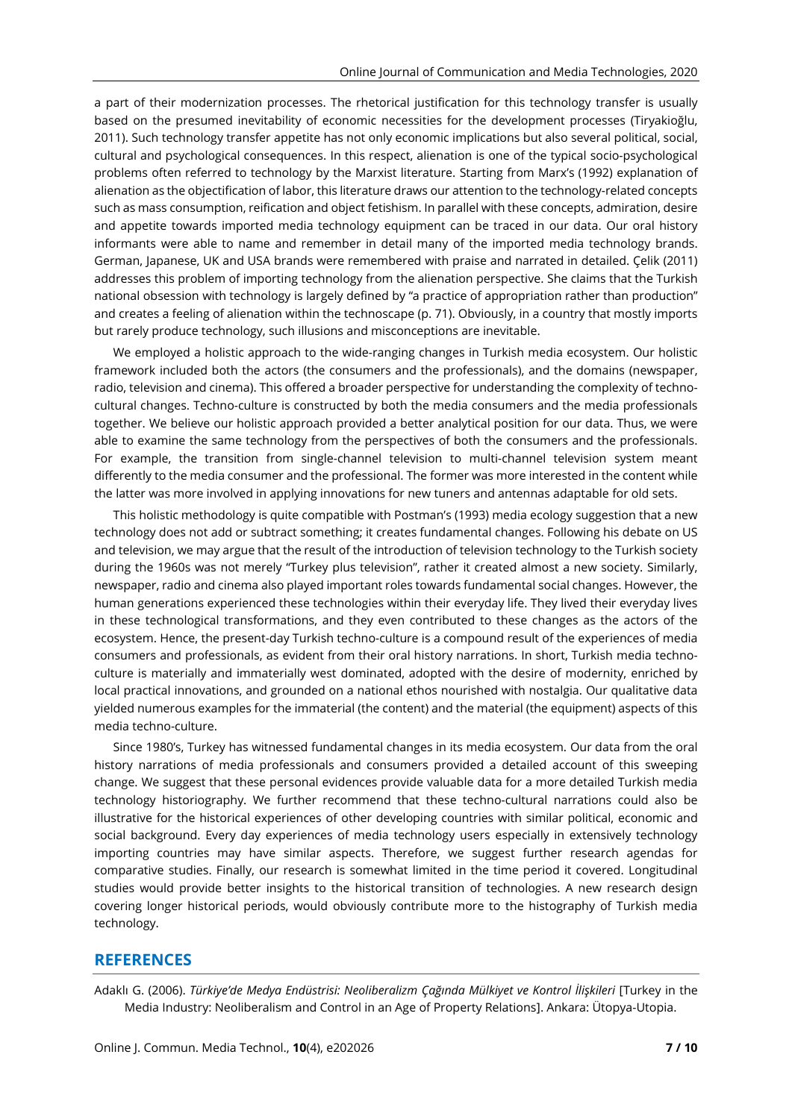a part of their modernization processes. The rhetorical justification for this technology transfer is usually based on the presumed inevitability of economic necessities for the development processes (Tiryakioğlu, 2011). Such technology transfer appetite has not only economic implications but also several political, social, cultural and psychological consequences. In this respect, alienation is one of the typical socio-psychological problems often referred to technology by the Marxist literature. Starting from Marx's (1992) explanation of alienation as the objectification of labor, this literature draws our attention to the technology-related concepts such as mass consumption, reification and object fetishism. In parallel with these concepts, admiration, desire and appetite towards imported media technology equipment can be traced in our data. Our oral history informants were able to name and remember in detail many of the imported media technology brands. German, Japanese, UK and USA brands were remembered with praise and narrated in detailed. Çelik (2011) addresses this problem of importing technology from the alienation perspective. She claims that the Turkish national obsession with technology is largely defined by "a practice of appropriation rather than production" and creates a feeling of alienation within the technoscape (p. 71). Obviously, in a country that mostly imports but rarely produce technology, such illusions and misconceptions are inevitable.

We employed a holistic approach to the wide-ranging changes in Turkish media ecosystem. Our holistic framework included both the actors (the consumers and the professionals), and the domains (newspaper, radio, television and cinema). This offered a broader perspective for understanding the complexity of technocultural changes. Techno-culture is constructed by both the media consumers and the media professionals together. We believe our holistic approach provided a better analytical position for our data. Thus, we were able to examine the same technology from the perspectives of both the consumers and the professionals. For example, the transition from single-channel television to multi-channel television system meant differently to the media consumer and the professional. The former was more interested in the content while the latter was more involved in applying innovations for new tuners and antennas adaptable for old sets.

This holistic methodology is quite compatible with Postman's (1993) media ecology suggestion that a new technology does not add or subtract something; it creates fundamental changes. Following his debate on US and television, we may argue that the result of the introduction of television technology to the Turkish society during the 1960s was not merely "Turkey plus television", rather it created almost a new society. Similarly, newspaper, radio and cinema also played important roles towards fundamental social changes. However, the human generations experienced these technologies within their everyday life. They lived their everyday lives in these technological transformations, and they even contributed to these changes as the actors of the ecosystem. Hence, the present-day Turkish techno-culture is a compound result of the experiences of media consumers and professionals, as evident from their oral history narrations. In short, Turkish media technoculture is materially and immaterially west dominated, adopted with the desire of modernity, enriched by local practical innovations, and grounded on a national ethos nourished with nostalgia. Our qualitative data yielded numerous examples for the immaterial (the content) and the material (the equipment) aspects of this media techno-culture.

Since 1980's, Turkey has witnessed fundamental changes in its media ecosystem. Our data from the oral history narrations of media professionals and consumers provided a detailed account of this sweeping change. We suggest that these personal evidences provide valuable data for a more detailed Turkish media technology historiography. We further recommend that these techno-cultural narrations could also be illustrative for the historical experiences of other developing countries with similar political, economic and social background. Every day experiences of media technology users especially in extensively technology importing countries may have similar aspects. Therefore, we suggest further research agendas for comparative studies. Finally, our research is somewhat limited in the time period it covered. Longitudinal studies would provide better insights to the historical transition of technologies. A new research design covering longer historical periods, would obviously contribute more to the histography of Turkish media technology.

## **REFERENCES**

Adaklı G. (2006). *Türkiye'de Medya Endüstrisi: Neoliberalizm Çağında Mülkiyet ve Kontrol İlişkileri* [Turkey in the Media Industry: Neoliberalism and Control in an Age of Property Relations]. Ankara: Ütopya-Utopia.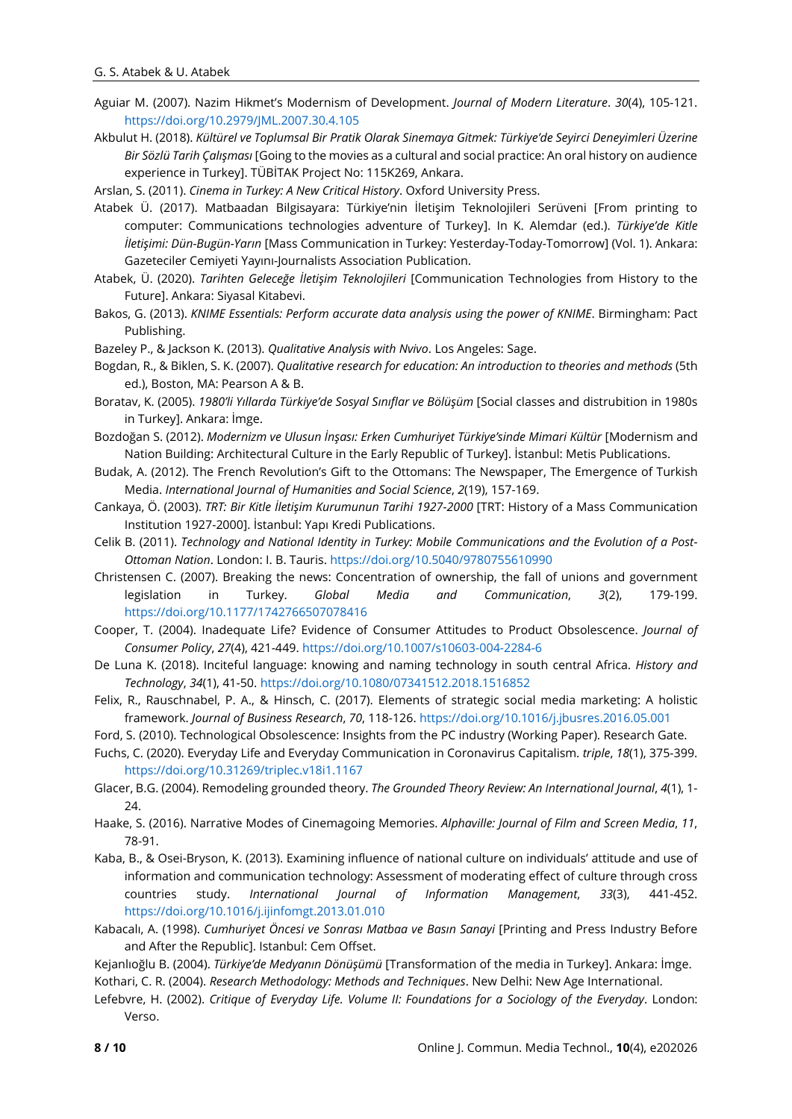- Aguiar M. (2007). Nazim Hikmet's Modernism of Development. *Journal of Modern Literature*. *30*(4), 105-121. <https://doi.org/10.2979/JML.2007.30.4.105>
- Akbulut H. (2018). *Kültürel ve Toplumsal Bir Pratik Olarak Sinemaya Gitmek: Türkiye'de Seyirci Deneyimleri Üzerine Bir Sözlü Tarih Çalışması* [Going to the movies as a cultural and social practice: An oral history on audience experience in Turkey]. TÜBİTAK Project No: 115K269, Ankara.

Arslan, S. (2011). *Cinema in Turkey: A New Critical History*. Oxford University Press.

- Atabek Ü. (2017). Matbaadan Bilgisayara: Türkiye'nin İletişim Teknolojileri Serüveni [From printing to computer: Communications technologies adventure of Turkey]. In K. Alemdar (ed.). *Türkiye'de Kitle İletişimi: Dün-Bugün-Yarın* [Mass Communication in Turkey: Yesterday-Today-Tomorrow] (Vol. 1). Ankara: Gazeteciler Cemiyeti Yayını-Journalists Association Publication.
- Atabek, Ü. (2020). *Tarihten Geleceğe İletişim Teknolojileri* [Communication Technologies from History to the Future]. Ankara: Siyasal Kitabevi.
- Bakos, G. (2013). *KNIME Essentials: Perform accurate data analysis using the power of KNIME*. Birmingham: Pact Publishing.
- Bazeley P., & Jackson K. (2013). *Qualitative Analysis with Nvivo*. Los Angeles: Sage.
- Bogdan, R., & Biklen, S. K. (2007). *Qualitative research for education: An introduction to theories and methods* (5th ed.), Boston, MA: Pearson A & B.
- Boratav, K. (2005). *1980'li Yıllarda Türkiye'de Sosyal Sınıflar ve Bölüşüm* [Social classes and distrubition in 1980s in Turkey]. Ankara: İmge.
- Bozdoğan S. (2012). *Modernizm ve Ulusun İnşası: Erken Cumhuriyet Türkiye'sinde Mimari Kültür* [Modernism and Nation Building: Architectural Culture in the Early Republic of Turkey]. İstanbul: Metis Publications.
- Budak, A. (2012). The French Revolution's Gift to the Ottomans: The Newspaper, The Emergence of Turkish Media. *International Journal of Humanities and Social Science*, *2*(19), 157-169.
- Cankaya, Ö. (2003). *TRT: Bir Kitle İletişim Kurumunun Tarihi 1927-2000* [TRT: History of a Mass Communication Institution 1927-2000]. İstanbul: Yapı Kredi Publications.
- Celik B. (2011). *Technology and National Identity in Turkey: Mobile Communications and the Evolution of a Post-Ottoman Nation*. London: I. B. Tauris. <https://doi.org/10.5040/9780755610990>
- Christensen C. (2007). Breaking the news: Concentration of ownership, the fall of unions and government legislation in Turkey. *Global Media and Communication*, *3*(2), 179-199. <https://doi.org/10.1177/1742766507078416>
- Cooper, T. (2004). Inadequate Life? Evidence of Consumer Attitudes to Product Obsolescence. *Journal of Consumer Policy*, *27*(4), 421-449. <https://doi.org/10.1007/s10603-004-2284-6>
- De Luna K. (2018). Inciteful language: knowing and naming technology in south central Africa. *History and Technology*, *34*(1), 41-50. <https://doi.org/10.1080/07341512.2018.1516852>
- Felix, R., Rauschnabel, P. A., & Hinsch, C. (2017). Elements of strategic social media marketing: A holistic framework. *Journal of Business Research*, *70*, 118-126. <https://doi.org/10.1016/j.jbusres.2016.05.001>
- Ford, S. (2010). Technological Obsolescence: Insights from the PC industry (Working Paper). Research Gate.
- Fuchs, C. (2020). Everyday Life and Everyday Communication in Coronavirus Capitalism. *triple*, *18*(1), 375-399. <https://doi.org/10.31269/triplec.v18i1.1167>
- Glacer, B.G. (2004). Remodeling grounded theory. *The Grounded Theory Review: An International Journal*, *4*(1), 1- 24
- Haake, S. (2016). Narrative Modes of Cinemagoing Memories. *Alphaville: Journal of Film and Screen Media*, *11*, 78-91.
- Kaba, B., & Osei-Bryson, K. (2013). Examining influence of national culture on individuals' attitude and use of information and communication technology: Assessment of moderating effect of culture through cross countries study. *International Journal of Information Management*, *33*(3), 441-452. <https://doi.org/10.1016/j.ijinfomgt.2013.01.010>
- Kabacalı, A. (1998). *Cumhuriyet Öncesi ve Sonrası Matbaa ve Basın Sanayi* [Printing and Press Industry Before and After the Republic]. Istanbul: Cem Offset.
- Kejanlıoğlu B. (2004). *Türkiye'de Medyanın Dönüşümü* [Transformation of the media in Turkey]. Ankara: İmge. Kothari, C. R. (2004). *Research Methodology: Methods and Techniques*. New Delhi: New Age International.
- Lefebvre, H. (2002). *Critique of Everyday Life. Volume II: Foundations for a Sociology of the Everyday*. London: Verso.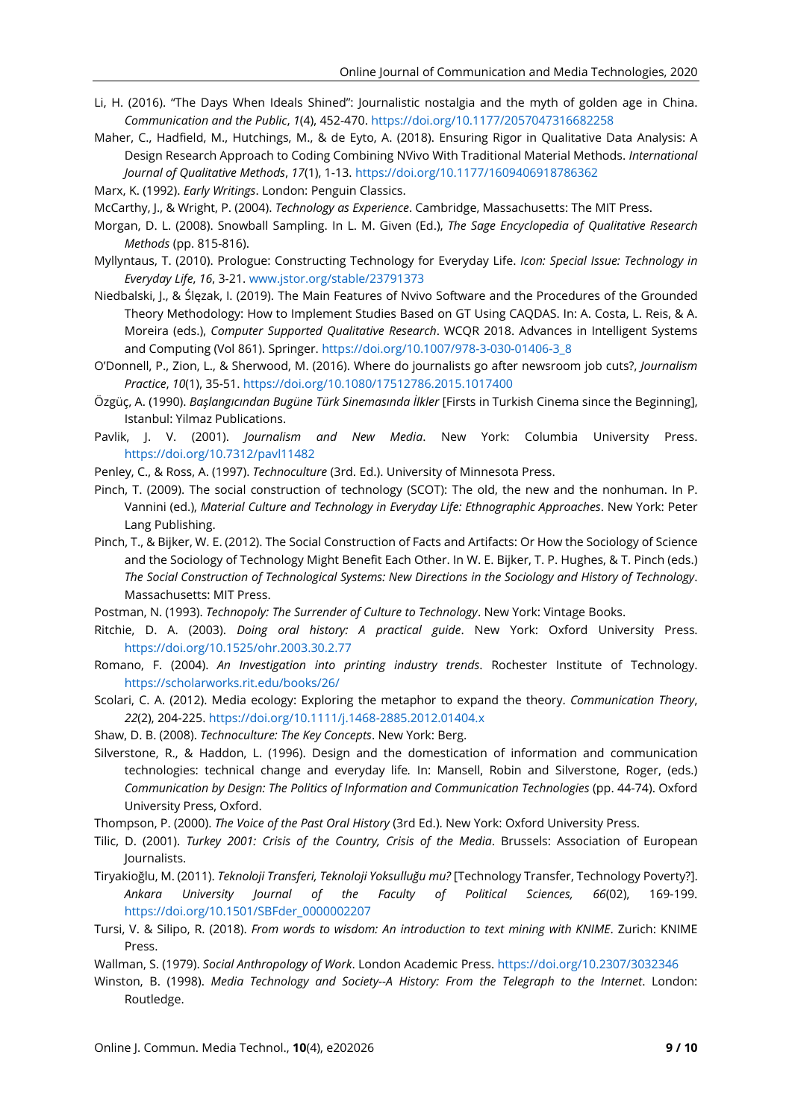- Li, H. (2016). "The Days When Ideals Shined": Journalistic nostalgia and the myth of golden age in China. *Communication and the Public*, *1*(4), 452-470. <https://doi.org/10.1177/2057047316682258>
- Maher, C., Hadfield, M., Hutchings, M., & de Eyto, A. (2018). Ensuring Rigor in Qualitative Data Analysis: A Design Research Approach to Coding Combining NVivo With Traditional Material Methods. *International Journal of Qualitative Methods*, *17*(1), 1-13. <https://doi.org/10.1177/1609406918786362>

Marx, K. (1992). *Early Writings*. London: Penguin Classics.

- McCarthy, J., & Wright, P. (2004). *Technology as Experience*. Cambridge, Massachusetts: The MIT Press.
- Morgan, D. L. (2008). Snowball Sampling. In L. M. Given (Ed.), *The Sage Encyclopedia of Qualitative Research Methods* (pp. 815-816).
- Myllyntaus, T. (2010). Prologue: Constructing Technology for Everyday Life. *Icon: Special Issue: Technology in Everyday Life*, *16*, 3-21. [www.jstor.org/stable/23791373](http://www.jstor.org/stable/23791373)
- Niedbalski, J., & Ślęzak, I. (2019). The Main Features of Nvivo Software and the Procedures of the Grounded Theory Methodology: How to Implement Studies Based on GT Using CAQDAS. In: A. Costa, L. Reis, & A. Moreira (eds.), *Computer Supported Qualitative Research*. WCQR 2018. Advances in Intelligent Systems and Computing (Vol 861). Springer. [https://doi.org/10.1007/978-3-030-01406-3\\_8](https://doi.org/10.1007/978-3-030-01406-3_8)
- O'Donnell, P., Zion, L., & Sherwood, M. (2016). Where do journalists go after newsroom job cuts?, *Journalism Practice*, *10*(1), 35-51. <https://doi.org/10.1080/17512786.2015.1017400>
- Özgüç, A. (1990). *Başlangıcından Bugüne Türk Sinemasında İlkler* [Firsts in Turkish Cinema since the Beginning], Istanbul: Yilmaz Publications.
- Pavlik, J. V. (2001). *Journalism and New Media*. New York: Columbia University Press. <https://doi.org/10.7312/pavl11482>
- Penley, C., & Ross, A. (1997). *Technoculture* (3rd. Ed.). University of Minnesota Press.
- Pinch, T. (2009). The social construction of technology (SCOT): The old, the new and the nonhuman. In P. Vannini (ed.), *Material Culture and Technology in Everyday Life: Ethnographic Approaches*. New York: Peter Lang Publishing.
- Pinch, T., & Bijker, W. E. (2012). The Social Construction of Facts and Artifacts: Or How the Sociology of Science and the Sociology of Technology Might Benefit Each Other. In W. E. Bijker, T. P. Hughes, & T. Pinch (eds.) *The Social Construction of Technological Systems: New Directions in the Sociology and History of Technology*. Massachusetts: MIT Press.
- Postman, N. (1993). *Technopoly: The Surrender of Culture to Technology*. New York: Vintage Books.
- Ritchie, D. A. (2003). *Doing oral history: A practical guide*. New York: Oxford University Press. <https://doi.org/10.1525/ohr.2003.30.2.77>
- Romano, F. (2004). *An Investigation into printing industry trends*. Rochester Institute of Technology. <https://scholarworks.rit.edu/books/26/>
- Scolari, C. A. (2012). Media ecology: Exploring the metaphor to expand the theory. *Communication Theory*, *22*(2), 204-225. <https://doi.org/10.1111/j.1468-2885.2012.01404.x>
- Shaw, D. B. (2008). *Technoculture: The Key Concepts*. New York: Berg.
- Silverstone, R., & Haddon, L. (1996). Design and the domestication of information and communication technologies: technical change and everyday life*.* In: Mansell, Robin and Silverstone, Roger, (eds.) *Communication by Design: The Politics of Information and Communication Technologies* (pp. 44-74). Oxford University Press, Oxford.
- Thompson, P. (2000). *The Voice of the Past Oral History* (3rd Ed.). New York: Oxford University Press.
- Tilic, D. (2001). *Turkey 2001: Crisis of the Country, Crisis of the Media*. Brussels: Association of European Journalists.
- Tiryakioğlu, M. (2011). *Teknoloji Transferi, Teknoloji Yoksulluğu mu?* [Technology Transfer, Technology Poverty?]. *Ankara University Journal of the Faculty of Political Sciences, 66*(02), 169-199. [https://doi.org/10.1501/SBFder\\_0000002207](https://doi.org/10.1501/SBFder_0000002207)
- Tursi, V. & Silipo, R. (2018). *From words to wisdom: An introduction to text mining with KNIME*. Zurich: KNIME **Press**
- Wallman, S. (1979). *Social Anthropology of Work*. London Academic Press. <https://doi.org/10.2307/3032346>
- Winston, B. (1998). *Media Technology and Society--A History: From the Telegraph to the Internet*. London: Routledge.